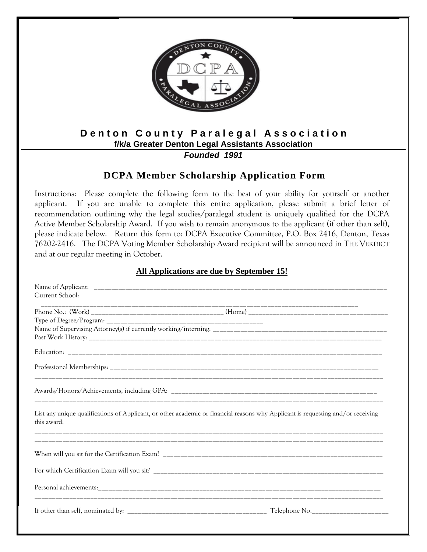

## **Denton County Paralegal Association f/k/a Greater Denton Legal Assistants Association**

*Founded 1991*

## **DCPA Member Scholarship Application Form**

Instructions: Please complete the following form to the best of your ability for yourself or another applicant. If you are unable to complete this entire application, please submit a brief letter of recommendation outlining why the legal studies/paralegal student is uniquely qualified for the DCPA Active Member Scholarship Award. If you wish to remain anonymous to the applicant (if other than self), please indicate below. Return this form to: DCPA Executive Committee, P.O. Box 2416, Denton, Texas 76202-2416. The DCPA Voting Member Scholarship Award recipient will be announced in THE VERDICT and at our regular meeting in October.

## **All Applications are due by September 15!**

| Current School:                                                                                                                                 |  |
|-------------------------------------------------------------------------------------------------------------------------------------------------|--|
|                                                                                                                                                 |  |
|                                                                                                                                                 |  |
|                                                                                                                                                 |  |
|                                                                                                                                                 |  |
|                                                                                                                                                 |  |
|                                                                                                                                                 |  |
|                                                                                                                                                 |  |
| List any unique qualifications of Applicant, or other academic or financial reasons why Applicant is requesting and/or receiving<br>this award: |  |
|                                                                                                                                                 |  |
|                                                                                                                                                 |  |
|                                                                                                                                                 |  |
|                                                                                                                                                 |  |